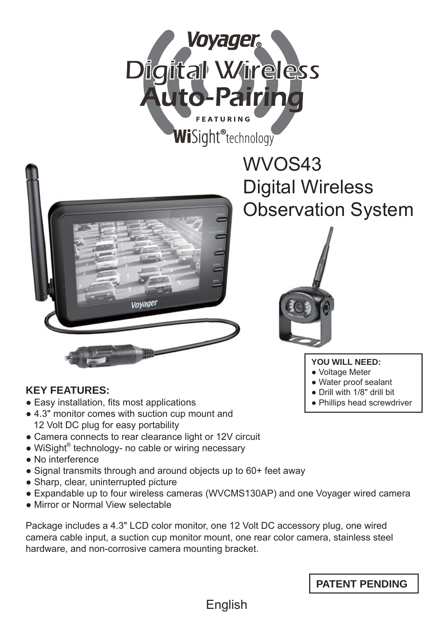



# WVOS43 Digital Wireless Observation System



### **YOU WILL NEED:**

- Voltage Meter
- Water proof sealant
- Drill with 1/8" drill bit
- Phillips head screwdriver

# **KEY FEATURES:**

- Easy installation, fits most applications
- 4.3" monitor comes with suction cup mount and 12 Volt DC plug for easy portability
- Camera connects to rear clearance light or 12V circuit
- WiSight<sup>®</sup> technology- no cable or wiring necessary
- No interference
- Signal transmits through and around objects up to 60+ feet away
- Sharp, clear, uninterrupted picture
- Expandable up to four wireless cameras (WVCMS130AP) and one Voyager wired camera
- Mirror or Normal View selectable

Package includes a 4.3" LCD color monitor, one 12 Volt DC accessory plug, one wired camera cable input, a suction cup monitor mount, one rear color camera, stainless steel hardware, and non-corrosive camera mounting bracket.

**PATENT PENDING**

English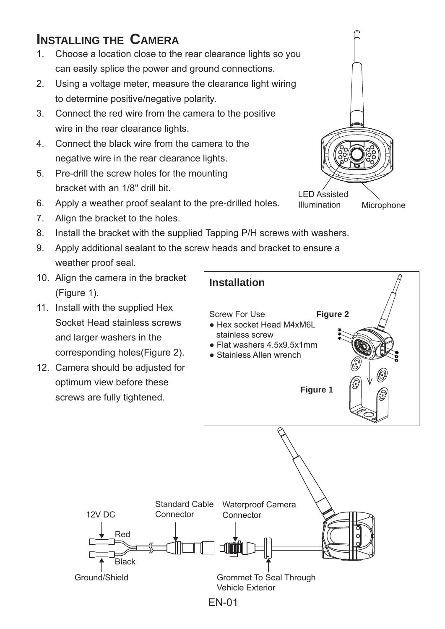# **INSTALLING THE CAMERA**

- 1. Choose a location close to the rear clearance lights so you can easily splice the power and ground connections.
- 2. Using a voltage meter, measure the clearance light wiring to determine positive/negative polarity.
- 3. Connect the red wire from the camera to the positive wire in the rear clearance lights.
- 4. Connect the black wire from the camera to the negative wire in the rear clearance lights.
- 5. Pre-drill the screw holes for the mounting bracket with an 1/8" drill bit.
- 6. Apply a weather proof sealant to the pre-drilled holes.
- 7. Align the bracket to the holes.
- 8. Install the bracket with the supplied Tapping P/H screws with washers.
- 9. Apply additional sealant to the screw heads and bracket to ensure a weather proof seal.
- 10. Align the camera in the bracket (Figure 1).
- 11. Install with the supplied Hex Socket Head stainless screws and larger washers in the corresponding holes(Figure 2).
- 12. Camera should be adjusted for optimum view before these screws are fully tightened.



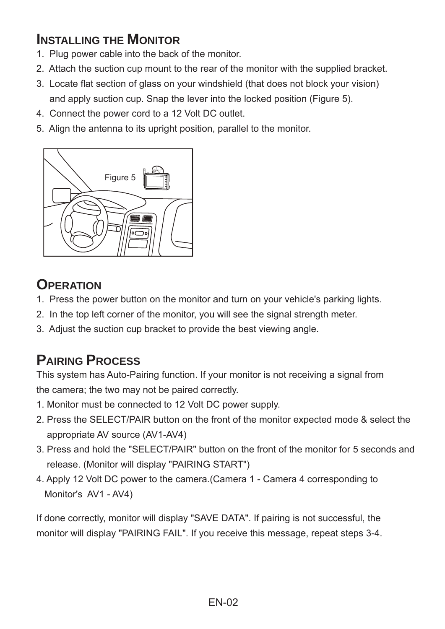# **INSTALLING THE MONITOR**

- 1. Plug power cable into the back of the monitor.
- 2. Attach the suction cup mount to the rear of the monitor with the supplied bracket.
- 3. Locate flat section of glass on your windshield (that does not block your vision) and apply suction cup. Snap the lever into the locked position (Figure 5).
- 4. Connect the power cord to a 12 Volt DC outlet.
- 5. Align the antenna to its upright position, parallel to the monitor.



# **OPERATION**

- 1. Press the power button on the monitor and turn on your vehicle's parking lights.
- 2. In the top left corner of the monitor, you will see the signal strength meter.
- 3. Adjust the suction cup bracket to provide the best viewing angle.

# **PAIRING PROCESS**

This system has Auto-Pairing function. If your monitor is not receiving a signal from the camera; the two may not be paired correctly.

- 1. Monitor must be connected to 12 Volt DC power supply.
- 2. Press the SELECT/PAIR button on the front of the monitor expected mode & select the appropriate AV source (AV1-AV4)
- 3. Press and hold the "SELECT/PAIR" button on the front of the monitor for 5 seconds and release. (Monitor will display "PAIRING START")
- 4. Apply 12 Volt DC power to the camera.(Camera 1 Camera 4 corresponding to Monitor's AV1 - AV4)

If done correctly, monitor will display "SAVE DATA". If pairing is not successful, the monitor will display "PAIRING FAIL". If you receive this message, repeat steps 3-4.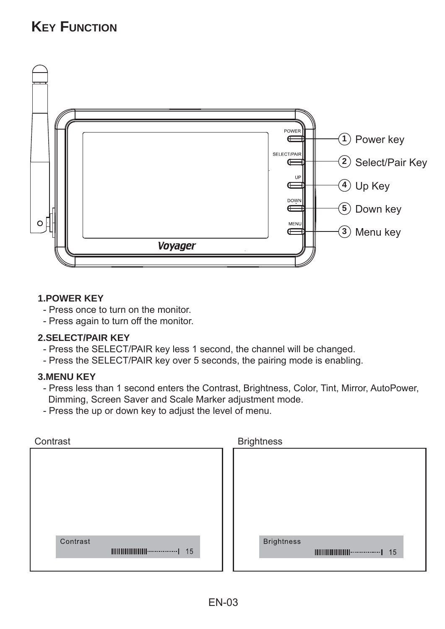# **KEY FUNCTION**



### **1.POWER KEY**

- Press once to turn on the monitor.
- Press again to turn off the monitor.

### **2.SELECT/PAIR KEY**

- Press the SELECT/PAIR key less 1 second, the channel will be changed.
- Press the SELECT/PAIR key over 5 seconds, the pairing mode is enabling.

### **3.MENU KEY**

- Press less than 1 second enters the Contrast, Brightness, Color, Tint, Mirror, AutoPower, Dimming, Screen Saver and Scale Marker adjustment mode.
- Press the up or down key to adjust the level of menu.

| Contrast | <b>Brightness</b>                                                                      |
|----------|----------------------------------------------------------------------------------------|
|          |                                                                                        |
|          |                                                                                        |
|          |                                                                                        |
|          |                                                                                        |
|          |                                                                                        |
|          |                                                                                        |
| Contrast | <b>Brightness</b>                                                                      |
|          | $\text{III}\text{III}\text{III}\text{III}\text{III}\text{III}\text{}\text{}\text{}$ 15 |
|          |                                                                                        |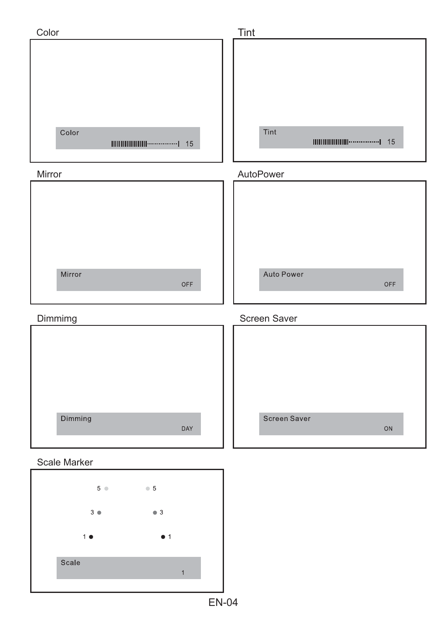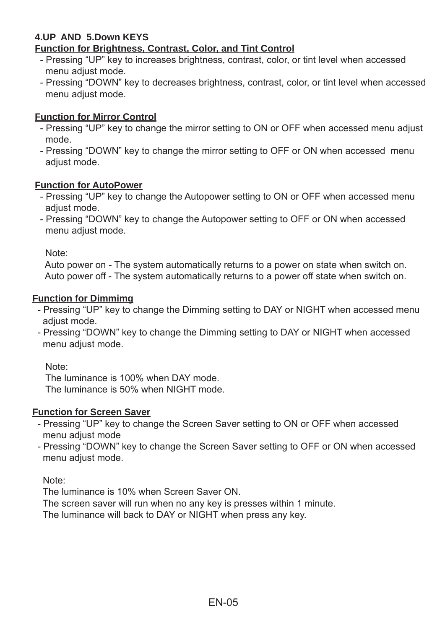### **4.UP AND 5.Down KEYS Function for Brightness, Contrast, Color, and Tint Control**

- Pressing "UP" key to increases brightness, contrast, color, or tint level when accessed menu adjust mode.
- Pressing "DOWN" key to decreases brightness, contrast, color, or tint level when accessed menu adjust mode.

### **Function for Mirror Control**

- Pressing "UP" key to change the mirror setting to ON or OFF when accessed menu adjust mode.
- Pressing "DOWN" key to change the mirror setting to OFF or ON when accessed menu adjust mode.

### **Function for AutoPower**

- Pressing "UP" key to change the Autopower setting to ON or OFF when accessed menu adiust mode.
- Pressing "DOWN" key to change the Autopower setting to OFF or ON when accessed menu adjust mode.

Note:

 Auto power on - The system automatically returns to a power on state when switch on. Auto power off - The system automatically returns to a power off state when switch on.

#### **Function for Dimmimg**

- Pressing "UP" key to change the Dimming setting to DAY or NIGHT when accessed menu adjust mode.
- Pressing "DOWN" key to change the Dimming setting to DAY or NIGHT when accessed menu adjust mode.

Note:

 The luminance is 100% when DAY mode. The luminance is 50% when NIGHT mode.

### **Function for Screen Saver**

- Pressing "UP" key to change the Screen Saver setting to ON or OFF when accessed menu adjust mode
- Pressing "DOWN" key to change the Screen Saver setting to OFF or ON when accessed menu adjust mode.

Note:

The luminance is 10% when Screen Saver ON.

The screen saver will run when no any key is presses within 1 minute.

The luminance will back to DAY or NIGHT when press any key.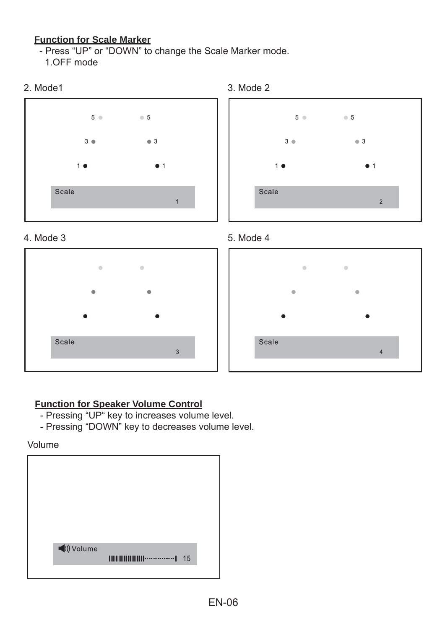# **Function for Scale Marker**

- Press "UP" or "DOWN" to change the Scale Marker mode. 1.OFF mode

















# **Function for Speaker Volume Control**

- Pressing "UP" key to increases volume level.
- Pressing "DOWN" key to decreases volume level.

Volume

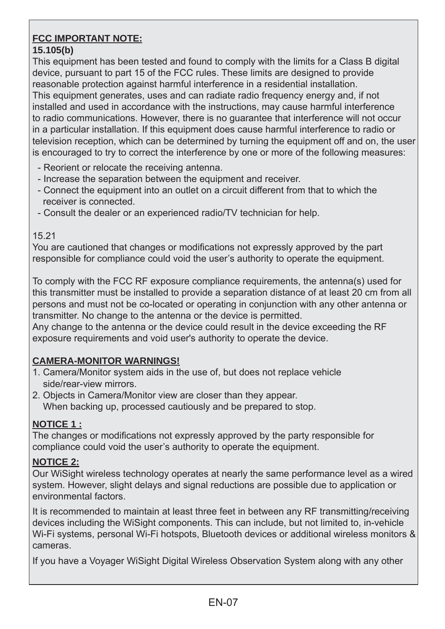#### **FCC IMPORTANT NOTE: 15.105(b)**

This equipment has been tested and found to comply with the limits for a Class B digital device, pursuant to part 15 of the FCC rules. These limits are designed to provide reasonable protection against harmful interference in a residential installation. This equipment generates, uses and can radiate radio frequency energy and, if not installed and used in accordance with the instructions, may cause harmful interference to radio communications. However, there is no guarantee that interference will not occur in a particular installation. If this equipment does cause harmful interference to radio or television reception, which can be determined by turning the equipment off and on, the user is encouraged to try to correct the interference by one or more of the following measures:

- Reorient or relocate the receiving antenna.
- Increase the separation between the equipment and receiver.
- Connect the equipment into an outlet on a circuit different from that to which the receiver is connected.
- Consult the dealer or an experienced radio/TV technician for help.

### 15.21

You are cautioned that changes or modifications not expressly approved by the part responsible for compliance could void the user's authority to operate the equipment.

To comply with the FCC RF exposure compliance requirements, the antenna(s) used for this transmitter must be installed to provide a separation distance of at least 20 cm from all persons and must not be co-located or operating in conjunction with any other antenna or transmitter. No change to the antenna or the device is permitted.

Any change to the antenna or the device could result in the device exceeding the RF exposure requirements and void user's authority to operate the device.

# **CAMERA-MONITOR WARNINGS!**

- 1. Camera/Monitor system aids in the use of, but does not replace vehicle side/rear-view mirrors.
- 2. Objects in Camera/Monitor view are closer than they appear. When backing up, processed cautiously and be prepared to stop.

# **NOTICE 1 :**

The changes or modifications not expressly approved by the party responsible for compliance could void the user's authority to operate the equipment.

# **NOTICE 2:**

Our WiSight wireless technology operates at nearly the same performance level as a wired system. However, slight delays and signal reductions are possible due to application or environmental factors.

It is recommended to maintain at least three feet in between any RF transmitting/receiving devices including the WiSight components. This can include, but not limited to, in-vehicle Wi-Fi systems, personal Wi-Fi hotspots, Bluetooth devices or additional wireless monitors & cameras.

If you have a Voyager WiSight Digital Wireless Observation System along with any other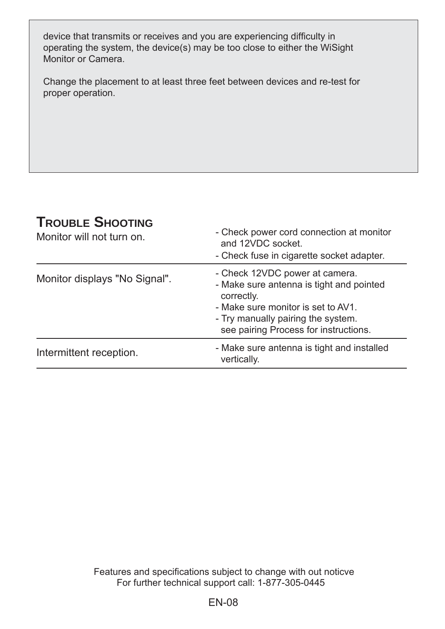device that transmits or receives and you are experiencing difficulty in operating the system, the device(s) may be too close to either the WiSight Monitor or Camera.

Change the placement to at least three feet between devices and re-test for proper operation.

# **TROUBLE SHOOTING**

| '''''''''''''''''''''<br>Monitor will not turn on. | - Check power cord connection at monitor<br>and 12VDC socket.<br>- Check fuse in cigarette socket adapter.                                                                                                    |
|----------------------------------------------------|---------------------------------------------------------------------------------------------------------------------------------------------------------------------------------------------------------------|
| Monitor displays "No Signal".                      | - Check 12VDC power at camera.<br>- Make sure antenna is tight and pointed<br>correctly.<br>- Make sure monitor is set to AV1.<br>- Try manually pairing the system.<br>see pairing Process for instructions. |
| Intermittent reception.                            | - Make sure antenna is tight and installed<br>vertically.                                                                                                                                                     |

For further technical support call: 1-877-305-0445 Features and specifications subject to change with out noticve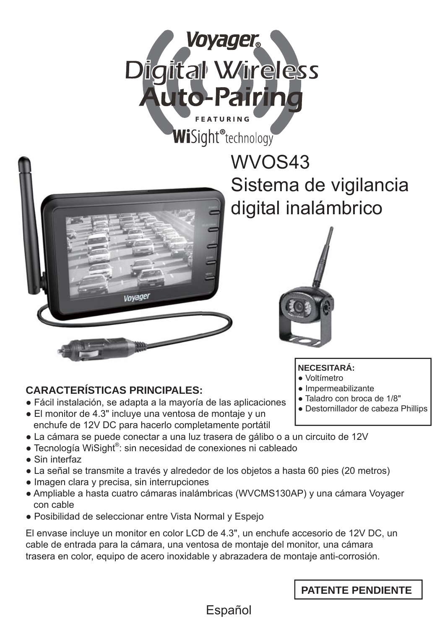



Voyage

# **CARACTERÍSTICAS PRINCIPALES:**

- Fácil instalación, se adapta a la mayoría de las aplicaciones
- El monitor de 4.3" incluye una ventosa de montaje y un enchufe de 12V DC para hacerlo completamente portátil
- La cámara se puede conectar a una luz trasera de gálibo o a un circuito de 12V
- Tecnología WiSight®: sin necesidad de conexiones ni cableado
- Sin interfaz
- La señal se transmite a través y alrededor de los objetos a hasta 60 pies (20 metros)
- Imagen clara y precisa, sin interrupciones
- Ampliable a hasta cuatro cámaras inalámbricas (WVCMS130AP) y una cámara Voyager con cable
- Posibilidad de seleccionar entre Vista Normal y Espejo

El envase incluye un monitor en color LCD de 4.3", un enchufe accesorio de 12V DC, un cable de entrada para la cámara, una ventosa de montaje del monitor, una cámara trasera en color, equipo de acero inoxidable y abrazadera de montaje anti-corrosión.

Español

WVOS43 W Sistema de vigilancia S digital inalámbrico d



**NECESITARÁ:**

- Voltímetro
- Impermeabilizante
- Taladro con broca de 1/8"
- Destornillador de cabeza Phillips

**PATENTE PENDIENTE**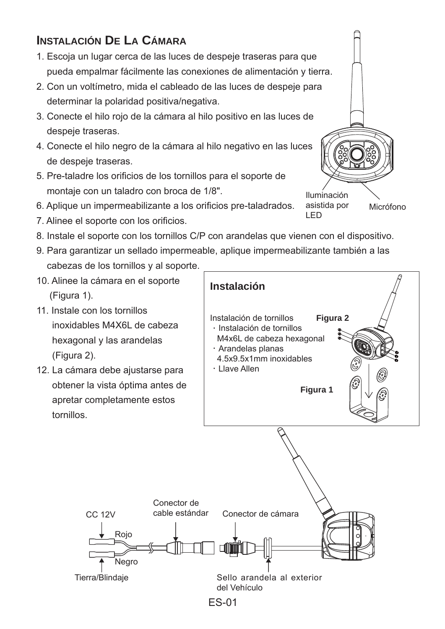# **INSTALACIÓN DE LA CÁMARA**

- 1. Escoja un lugar cerca de las luces de despeje traseras para que pueda empalmar fácilmente las conexiones de alimentación y tierra.
- 2. Con un voltímetro, mida el cableado de las luces de despeje para determinar la polaridad positiva/negativa.
- 3. Conecte el hilo rojo de la cámara al hilo positivo en las luces de despeje traseras.
- 4. Conecte el hilo negro de la cámara al hilo negativo en las luces de despeje traseras.
- 5. Pre-taladre los orificios de los tornillos para el soporte de montaje con un taladro con broca de 1/8".
- 6. Aplique un impermeabilizante a los orificios pre-taladrados.
- 7. Alinee el soporte con los orificios.
- 8. Instale el soporte con los tornillos C/P con arandelas que vienen con el dispositivo.
- 9. Para garantizar un sellado impermeable, aplique impermeabilizante también a las cabezas de los tornillos y al soporte.
- 10. Alinee la cámara en el soporte (Figura 1).
- 11. Instale con los tornillos inoxidables M4X6L de cabeza hexagonal y las arandelas (Figura 2).
- 12. La cámara debe ajustarse para obtener la vista óptima antes de apretar completamente estos tornillos.

CC 12V

Rojo

**Negro** 



ES-01

Iluminación asistida por Micrófono

LED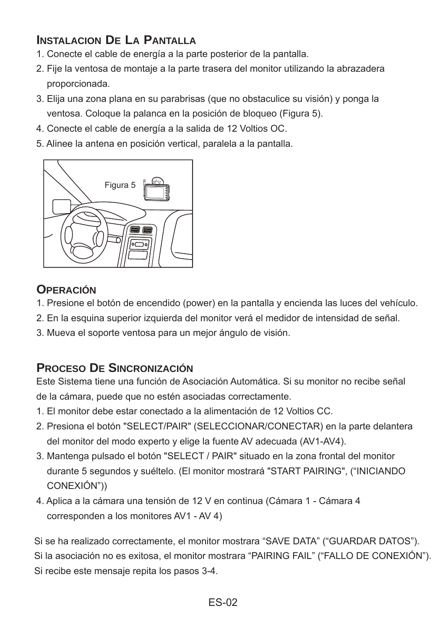# **INSTALACION DE LA PANTALLA**

- 1. Conecte el cable de energía a la parte posterior de la pantalla.
- 2. Fije la ventosa de montaje a la parte trasera del monitor utilizando la abrazadera proporcionada.
- 3. Elija una zona plana en su parabrisas (que no obstaculice su visión) y ponga la ventosa. Coloque la palanca en la posición de bloqueo (Figura 5).
- 4. Conecte el cable de energía a la salida de 12 Voltios OC.
- 5. Alinee la antena en posición vertical, paralela a la pantalla.



# **OPERACIÓN**

- 1. Presione el botón de encendido (power) en la pantalla y encienda las luces del vehículo.
- 2. En la esquina superior izquierda del monitor verá el medidor de intensidad de señal.
- 3. Mueva el soporte ventosa para un mejor ángulo de visión.

# **PROCESO DE SINCRONIZACIÓN**

Este Sistema tiene una función de Asociación Automática. Si su monitor no recibe señal de la cámara, puede que no estén asociadas correctamente.

- 1. El monitor debe estar conectado a la alimentación de 12 Voltios CC.
- 2. Presiona el botón "SELECT/PAIR" (SELECCIONAR/CONECTAR) en la parte delantera del monitor del modo experto y elige la fuente AV adecuada (AV1-AV4).
- 3. Mantenga pulsado el botón "SELECT / PAIR" situado en la zona frontal del monitor durante 5 segundos y suéltelo. (El monitor mostrará "START PAIRING", ("INICIANDO CONEXIÓN"))
- 4. Aplica a la cámara una tensión de 12 V en continua (Cámara 1 Cámara 4 corresponden a los monitores AV1 - AV 4)

Si se ha realizado correctamente, el monitor mostrara "SAVE DATA" ("GUARDAR DATOS").

Si la asociación no es exitosa, el monitor mostrara "PAIRING FAIL" ("FALLO DE CONEXIÓN").

Si recibe este mensaje repita los pasos 3-4.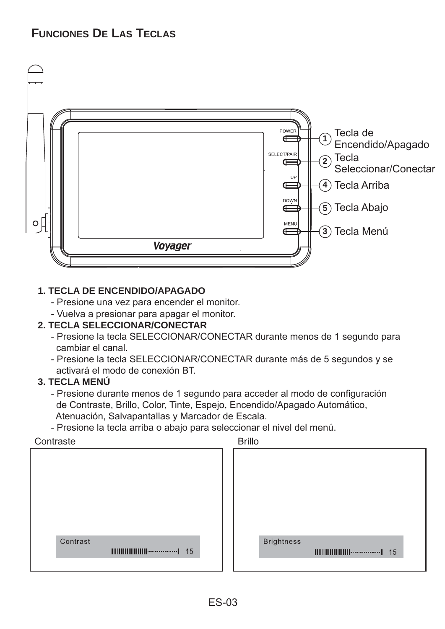# **FUNCIONES DE LAS TECLAS**



### **1. TECLA DE ENCENDIDO/APAGADO**

- Presione una vez para encender el monitor.
- Vuelva a presionar para apagar el monitor.

### **2. TECLA SELECCIONAR/CONECTAR**

- Presione la tecla SELECCIONAR/CONECTAR durante menos de 1 segundo para cambiar el canal.
- Presione la tecla SELECCIONAR/CONECTAR durante más de 5 segundos y se activará el modo de conexión BT.

# **3. TECLA MENÚ**

- Presione durante menos de 1 segundo para acceder al modo de configuración de Contraste, Brillo, Color, Tinte, Espejo, Encendido/Apagado Automático, Atenuación, Salvapantallas y Marcador de Escala.
- Presione la tecla arriba o abajo para seleccionar el nivel del menú.

Contracte

| --------- |          |                                       |    |
|-----------|----------|---------------------------------------|----|
|           |          |                                       |    |
|           |          |                                       |    |
|           |          |                                       |    |
|           |          |                                       |    |
|           |          |                                       |    |
|           |          |                                       |    |
|           |          |                                       |    |
|           |          |                                       |    |
|           |          |                                       |    |
|           |          |                                       |    |
|           | Contrast |                                       |    |
|           |          |                                       |    |
|           |          | $\  \  \  \  \  \  \  \  \  \  \  \ $ | 15 |
|           |          |                                       |    |
|           |          |                                       |    |

| ,,,,,,,,      |                   |                                      |    |  |
|---------------|-------------------|--------------------------------------|----|--|
| <b>Brillo</b> |                   |                                      |    |  |
|               |                   |                                      |    |  |
|               |                   |                                      |    |  |
|               |                   |                                      |    |  |
|               |                   |                                      |    |  |
|               |                   |                                      |    |  |
|               |                   |                                      |    |  |
|               |                   |                                      |    |  |
|               | <b>Brightness</b> |                                      |    |  |
|               |                   | $\  \ \  \ \  \ \  \ \  \ \  \cdots$ | 15 |  |
|               |                   |                                      |    |  |
|               |                   |                                      |    |  |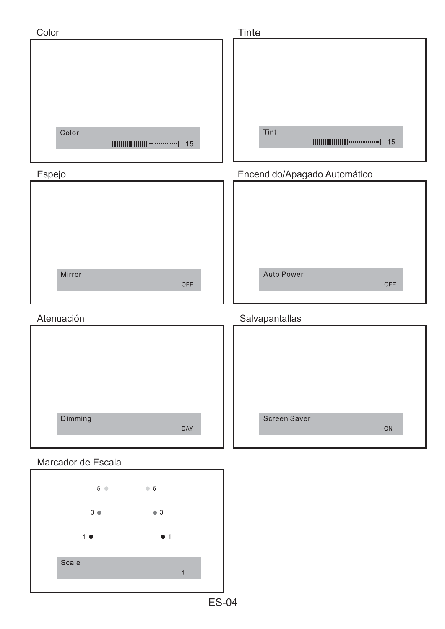

ES-04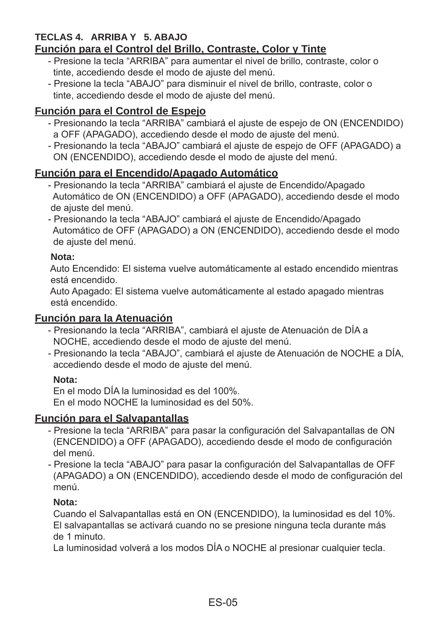#### **TECLAS 4. ARRIBA Y 5. ABAJO Función para el Control del Brillo, Contraste, Color y Tinte**

- Presione la tecla "ARRIBA" para aumentar el nivel de brillo, contraste, color o tinte, accediendo desde el modo de ajuste del menú.
- Presione la tecla "ABAJO" para disminuir el nivel de brillo, contraste, color o tinte, accediendo desde el modo de ajuste del menú.

# **Función para el Control de Espejo**

- Presionando la tecla "ARRIBA" cambiará el ajuste de espejo de ON (ENCENDIDO) a OFF (APAGADO), accediendo desde el modo de ajuste del menú.
- Presionando la tecla "ABAJO" cambiará el ajuste de espejo de OFF (APAGADO) a ON (ENCENDIDO), accediendo desde el modo de ajuste del menú.

# **Función para el Encendido/Apagado Automático**

- Presionando la tecla "ARRIBA" cambiará el ajuste de Encendido/Apagado Automático de ON (ENCENDIDO) a OFF (APAGADO), accediendo desde el modo de ajuste del menú.
- Presionando la tecla "ABAJO" cambiará el ajuste de Encendido/Apagado Automático de OFF (APAGADO) a ON (ENCENDIDO), accediendo desde el modo de ajuste del menú.

# **Nota:**

 Auto Encendido: El sistema vuelve automáticamente al estado encendido mientras está encendido.

 Auto Apagado: El sistema vuelve automáticamente al estado apagado mientras está encendido.

# **Función para la Atenuación**

- Presionando la tecla "ARRIBA", cambiará el ajuste de Atenuación de DÍA a NOCHE, accediendo desde el modo de ajuste del menú.
- Presionando la tecla "ABAJO", cambiará el ajuste de Atenuación de NOCHE a DÍA, accediendo desde el modo de ajuste del menú.

# **Nota:**

En el modo DÍA la luminosidad es del 100%. En el modo NOCHE la luminosidad es del 50%.

# **Función para el Salvapantallas**

- Presione la tecla "ARRIBA" para pasar la configuración del Salvapantallas de ON (ENCENDIDO) a OFF (APAGADO), accediendo desde el modo de configuración del menú.
- Presione la tecla "ABAJO" para pasar la configuración del Salvapantallas de OFF (APAGADO) a ON (ENCENDIDO), accediendo desde el modo de configuración del menú.

# **Nota:**

Cuando el Salvapantallas está en ON (ENCENDIDO), la luminosidad es del 10%. El salvapantallas se activará cuando no se presione ninguna tecla durante más de 1 minuto.

La luminosidad volverá a los modos DÍA o NOCHE al presionar cualquier tecla.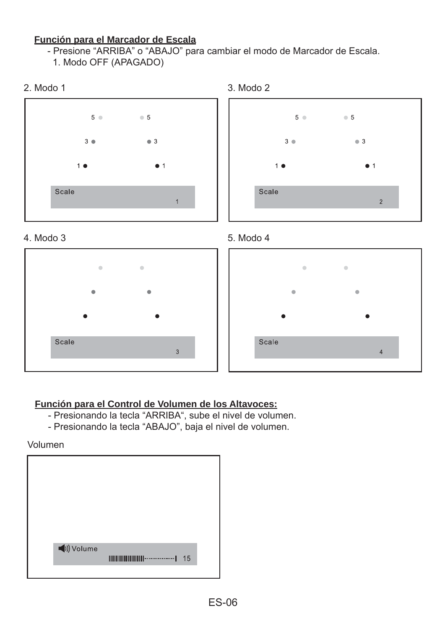### **Función para el Marcador de Escala**

- Presione "ARRIBA" o "ABAJO" para cambiar el modo de Marcador de Escala.

1. Modo OFF (APAGADO)



 $\alpha$ 





Scale

 $5 \bullet 5$ 

 $\bullet$  3

 $\overline{4}$ 

 $3^{\circ}$ 

Scale



- Presionando la tecla "ARRIBA", sube el nivel de volumen.

 $\overline{3}$ 

- Presionando la tecla "ABAJO", baja el nivel de volumen.

Volumen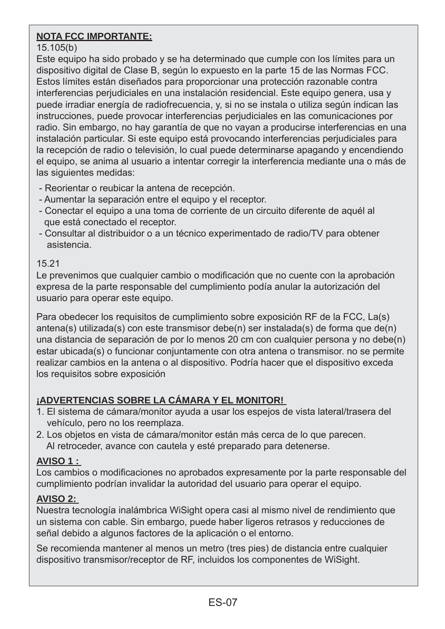# **NOTA FCC IMPORTANTE:**

## 15.105(b)

Este equipo ha sido probado y se ha determinado que cumple con los límites para un dispositivo digital de Clase B, según lo expuesto en la parte 15 de las Normas FCC. Estos límites están diseñados para proporcionar una protección razonable contra interferencias perjudiciales en una instalación residencial. Este equipo genera, usa y puede irradiar energía de radiofrecuencia, y, si no se instala o utiliza según indican las instrucciones, puede provocar interferencias perjudiciales en las comunicaciones por radio. Sin embargo, no hay garantía de que no vayan a producirse interferencias en una instalación particular. Si este equipo está provocando interferencias perjudiciales para la recepción de radio o televisión, lo cual puede determinarse apagando y encendiendo el equipo, se anima al usuario a intentar corregir la interferencia mediante una o más de las siguientes medidas:

- Reorientar o reubicar la antena de recepción.
- Aumentar la separación entre el equipo y el receptor.
- Conectar el equipo a una toma de corriente de un circuito diferente de aquél al que está conectado el receptor.
- Consultar al distribuidor o a un técnico experimentado de radio/TV para obtener asistencia.

### 15.21

Le prevenimos que cualquier cambio o modificación que no cuente con la aprobación expresa de la parte responsable del cumplimiento podía anular la autorización del usuario para operar este equipo.

Para obedecer los requisitos de cumplimiento sobre exposición RF de la FCC, La(s) antena(s) utilizada(s) con este transmisor debe(n) ser instalada(s) de forma que de(n) una distancia de separación de por lo menos 20 cm con cualquier persona y no debe(n) estar ubicada(s) o funcionar conjuntamente con otra antena o transmisor. no se permite realizar cambios en la antena o al dispositivo. Podría hacer que el dispositivo exceda los requisitos sobre exposición

# **¡ADVERTENCIAS SOBRE LA CÁMARA Y EL MONITOR!**

- 1. El sistema de cámara/monitor ayuda a usar los espejos de vista lateral/trasera del vehículo, pero no los reemplaza.
- 2. Los objetos en vista de cámara/monitor están más cerca de lo que parecen. Al retroceder, avance con cautela y esté preparado para detenerse.

# **AVISO 1 :**

Los cambios o modificaciones no aprobados expresamente por la parte responsable del cumplimiento podrían invalidar la autoridad del usuario para operar el equipo.

# **AVISO 2:**

Nuestra tecnología inalámbrica WiSight opera casi al mismo nivel de rendimiento que un sistema con cable. Sin embargo, puede haber ligeros retrasos y reducciones de señal debido a algunos factores de la aplicación o el entorno.

Se recomienda mantener al menos un metro (tres pies) de distancia entre cualquier dispositivo transmisor/receptor de RF, incluidos los componentes de WiSight.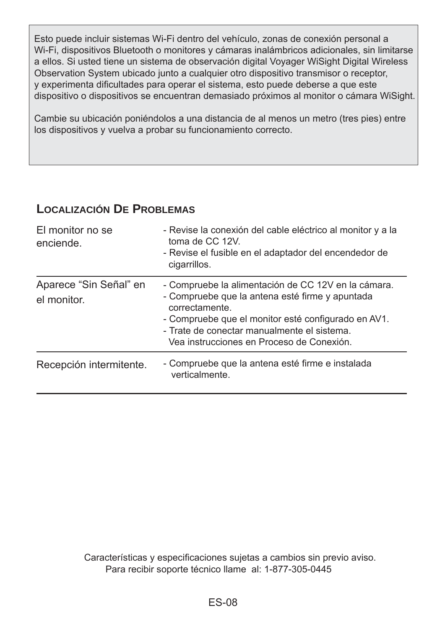Esto puede incluir sistemas Wi-Fi dentro del vehículo, zonas de conexión personal a Wi-Fi, dispositivos Bluetooth o monitores y cámaras inalámbricos adicionales, sin limitarse a ellos. Si usted tiene un sistema de observación digital Voyager WiSight Digital Wireless Observation System ubicado junto a cualquier otro dispositivo transmisor o receptor, y experimenta dificultades para operar el sistema, esto puede deberse a que este dispositivo o dispositivos se encuentran demasiado próximos al monitor o cámara WiSight.

Cambie su ubicación poniéndolos a una distancia de al menos un metro (tres pies) entre los dispositivos y vuelva a probar su funcionamiento correcto.

# **LOCALIZACIÓN DE PROBLEMAS**

| El monitor no se<br>enciende.         | - Revise la conexión del cable eléctrico al monitor y a la<br>toma de CC 12V.<br>- Revise el fusible en el adaptador del encendedor de<br>cigarrillos.                                                                                                                      |
|---------------------------------------|-----------------------------------------------------------------------------------------------------------------------------------------------------------------------------------------------------------------------------------------------------------------------------|
| Aparece "Sin Señal" en<br>el monitor. | - Compruebe la alimentación de CC 12V en la cámara.<br>- Compruebe que la antena esté firme y apuntada<br>correctamente.<br>- Compruebe que el monitor esté configurado en AV1.<br>- Trate de conectar manualmente el sistema.<br>Vea instrucciones en Proceso de Conexión. |
| Recepción intermitente.               | - Compruebe que la antena esté firme e instalada<br>verticalmente.                                                                                                                                                                                                          |

Para recibir soporte técnico llame al: 1-877-305-0445 Características y especificaciones sujetas a cambios sin previo aviso.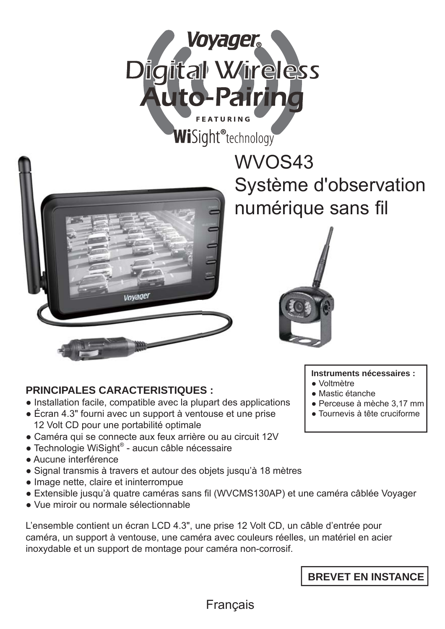



# WVOS43 W Système d'observation numérique sans fil



# **PRINCIPALES CARACTERISTIQUES :**

- Installation facile, compatible avec la plupart des applications
- Écran 4.3" fourni avec un support à ventouse et une prise 12 Volt CD pour une portabilité optimale
- Caméra qui se connecte aux feux arrière ou au circuit 12V
- Technologie WiSight® aucun câble nécessaire
- Aucune interférence
- Signal transmis à travers et autour des objets jusqu'à 18 mètres
- Image nette, claire et ininterrompue
- Extensible jusqu'à quatre caméras sans fil (WVCMS130AP) et une caméra câblée Voyager
- Vue miroir ou normale sélectionnable

L'ensemble contient un écran LCD 4.3", une prise 12 Volt CD, un câble d'entrée pour caméra, un support à ventouse, une caméra avec couleurs réelles, un matériel en acier inoxydable et un support de montage pour caméra non-corrosif.

**Instruments nécessaires :**

- Voltmètre
- Mastic étanche
- Perceuse à mèche 3,17 mm
- Tournevis à tête cruciforme

**BREVET EN INSTANCE**

Français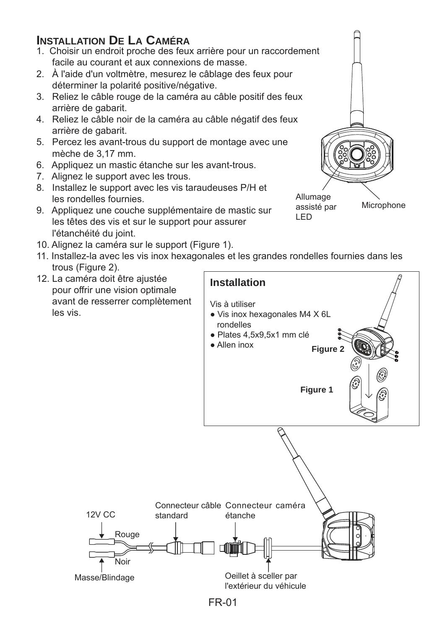# **INSTALLATION DE LA CAMÉRA**

- 1. Choisir un endroit proche des feux arrière pour un raccordement facile au courant et aux connexions de masse.
- 2. À l'aide d'un voltmètre, mesurez le câblage des feux pour déterminer la polarité positive/négative.
- 3. Reliez le câble rouge de la caméra au câble positif des feux arrière de gabarit.
- 4. Reliez le câble noir de la caméra au câble négatif des feux arrière de gabarit.
- 5. Percez les avant-trous du support de montage avec une mèche de 3,17 mm.
- 6. Appliquez un mastic étanche sur les avant-trous.
- 7. Alignez le support avec les trous.
- 8. Installez le support avec les vis taraudeuses P/H et les rondelles fournies.
- 9. Appliquez une couche supplémentaire de mastic sur les têtes des vis et sur le support pour assurer l'étanchéité du joint.



- 10. Alignez la caméra sur le support (Figure 1).
- 11. Installez-la avec les vis inox hexagonales et les grandes rondelles fournies dans les trous (Figure 2).
- 12. La caméra doit être ajustée pour offrir une vision optimale avant de resserrer complètement les vis.

12V CC

Rouge

Noir



FR-01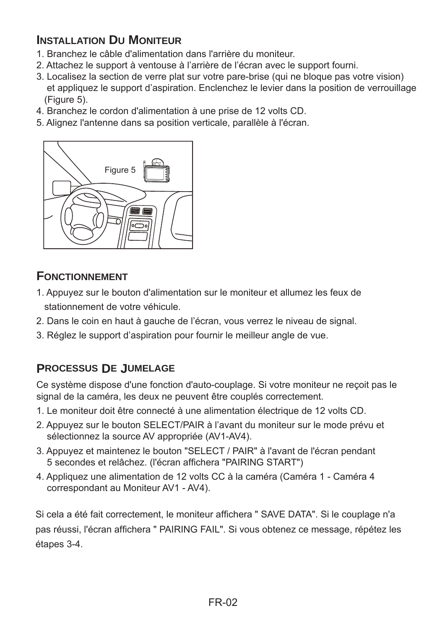# **INSTALLATION DU MONITEUR**

- 1. Branchez le câble d'alimentation dans l'arrière du moniteur.
- 2. Attachez le support à ventouse à l'arrière de l'écran avec le support fourni.
- 3. Localisez la section de verre plat sur votre pare-brise (qui ne bloque pas votre vision) et appliquez le support d'aspiration. Enclenchez le levier dans la position de verrouillage (Figure 5).
- 4. Branchez le cordon d'alimentation à une prise de 12 volts CD.
- 5. Alignez l'antenne dans sa position verticale, parallèle à l'écran.



# **FONCTIONNEMENT**

- 1. Appuyez sur le bouton d'alimentation sur le moniteur et allumez les feux de stationnement de votre véhicule.
- 2. Dans le coin en haut à gauche de l'écran, vous verrez le niveau de signal.
- 3. Réglez le support d'aspiration pour fournir le meilleur angle de vue.

# **PROCESSUS DE JUMELAGE**

Ce système dispose d'une fonction d'auto-couplage. Si votre moniteur ne reçoit pas le signal de la caméra, les deux ne peuvent être couplés correctement.

- 1. Le moniteur doit être connecté à une alimentation électrique de 12 volts CD.
- 2. Appuyez sur le bouton SELECT/PAIR à l'avant du moniteur sur le mode prévu et sélectionnez la source AV appropriée (AV1-AV4).
- 3. Appuyez et maintenez le bouton "SELECT / PAIR" à l'avant de l'écran pendant 5 secondes et relâchez. (l'écran affichera "PAIRING START")
- 4. Appliquez une alimentation de 12 volts CC à la caméra (Caméra 1 Caméra 4 correspondant au Moniteur AV1 - AV4).

Si cela a été fait correctement, le moniteur affichera " SAVE DATA". Si le couplage n'a pas réussi, l'écran affichera " PAIRING FAIL". Si vous obtenez ce message, répétez les étapes 3-4.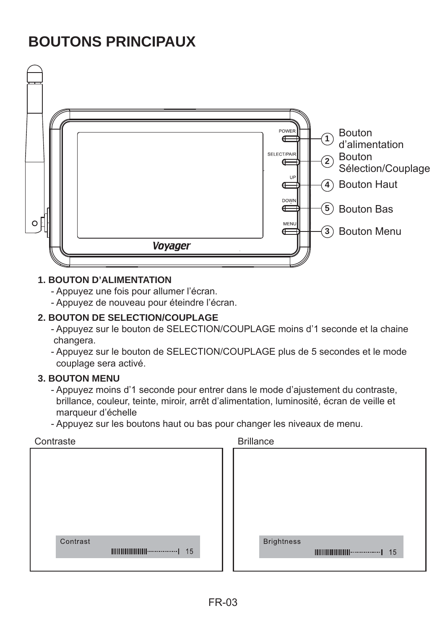# **BOUTONS PRINCIPAUX**



#### **1. BOUTON D'ALIMENTATION**

- Appuyez une fois pour allumer l'écran.
- Appuyez de nouveau pour éteindre l'écran.

## **2. BOUTON DE SELECTION/COUPLAGE**

- Appuyez sur le bouton de SELECTION/COUPLAGE moins d'1 seconde et la chaine changera.
- Appuyez sur le bouton de SELECTION/COUPLAGE plus de 5 secondes et le mode couplage sera activé.

### **3. BOUTON MENU**

- Appuyez moins d'1 seconde pour entrer dans le mode d'ajustement du contraste, brillance, couleur, teinte, miroir, arrêt d'alimentation, luminosité, écran de veille et marqueur d'échelle
- Appuyez sur les boutons haut ou bas pour changer les niveaux de menu.

| Contraste | <b>Brillance</b>  |
|-----------|-------------------|
|           |                   |
|           |                   |
|           |                   |
|           |                   |
|           |                   |
|           |                   |
|           |                   |
| Contrast  | <b>Brightness</b> |
|           |                   |
|           |                   |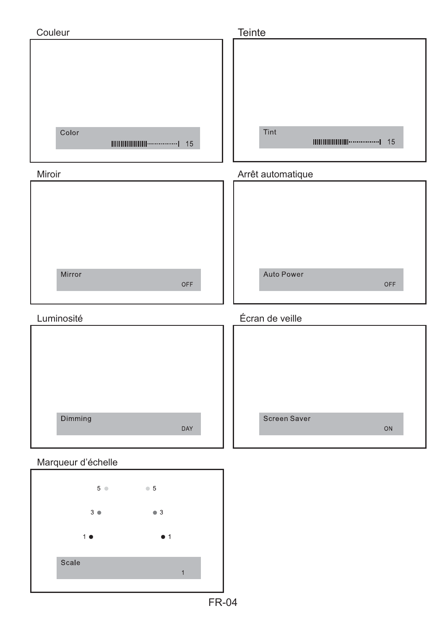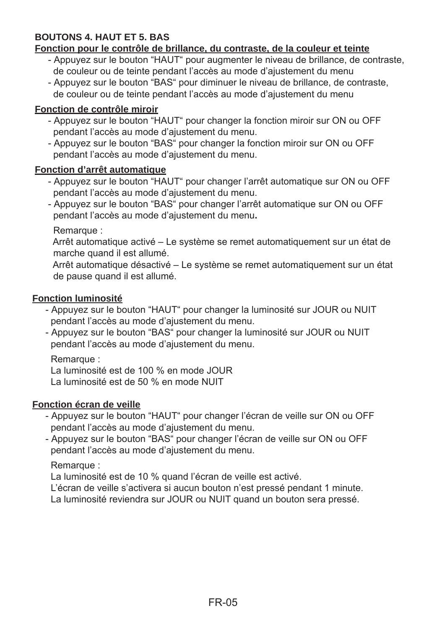# **BOUTONS 4. HAUT ET 5. BAS**

#### **Fonction pour le contrôle de brillance, du contraste, de la couleur et teinte**

- Appuyez sur le bouton "HAUT" pour augmenter le niveau de brillance, de contraste, de couleur ou de teinte pendant l'accès au mode d'ajustement du menu
- Appuyez sur le bouton "BAS" pour diminuer le niveau de brillance, de contraste, de couleur ou de teinte pendant l'accès au mode d'ajustement du menu

### **Fonction de contrôle miroir**

- Appuyez sur le bouton "HAUT" pour changer la fonction miroir sur ON ou OFF pendant l'accès au mode d'ajustement du menu.
- Appuyez sur le bouton "BAS" pour changer la fonction miroir sur ON ou OFF pendant l'accès au mode d'ajustement du menu.

### **Fonction d'arrêt automatique**

- Appuyez sur le bouton "HAUT" pour changer l'arrêt automatique sur ON ou OFF pendant l'accès au mode d'ajustement du menu.
- Appuyez sur le bouton "BAS" pour changer l'arrêt automatique sur ON ou OFF pendant l'accès au mode d'ajustement du menu**.**

Remarque :

 Arrêt automatique activé – Le système se remet automatiquement sur un état de marche quand il est allumé.

 Arrêt automatique désactivé – Le système se remet automatiquement sur un état de pause quand il est allumé.

### **Fonction luminosité**

- Appuyez sur le bouton "HAUT" pour changer la luminosité sur JOUR ou NUIT pendant l'accès au mode d'ajustement du menu.
- Appuyez sur le bouton "BAS" pour changer la luminosité sur JOUR ou NUIT pendant l'accès au mode d'ajustement du menu.

### Remarque :

La luminosité est de 100 % en mode JOUR

La luminosité est de 50 % en mode NUIT

### **Fonction écran de veille**

- Appuyez sur le bouton "HAUT" pour changer l'écran de veille sur ON ou OFF pendant l'accès au mode d'ajustement du menu.
- Appuyez sur le bouton "BAS" pour changer l'écran de veille sur ON ou OFF pendant l'accès au mode d'ajustement du menu.

### Remarque :

La luminosité est de 10 % quand l'écran de veille est activé.

L'écran de veille s'activera si aucun bouton n'est pressé pendant 1 minute.

La luminosité reviendra sur JOUR ou NUIT quand un bouton sera pressé.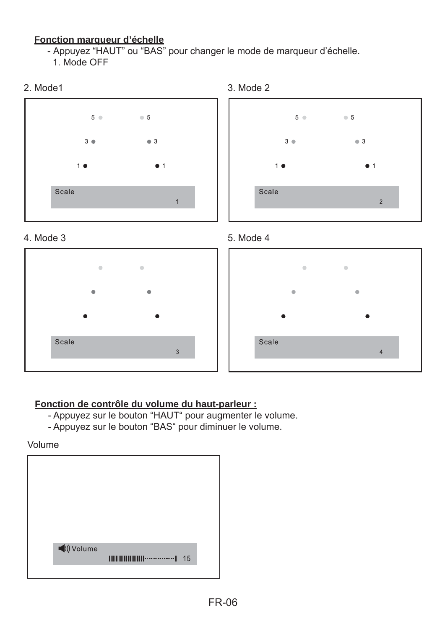### **Fonction marqueur d'échelle**

- Appuyez "HAUT" ou "BAS" pour changer le mode de marqueur d'échelle.

1. Mode OFF















# **Fonction de contrôle du volume du haut-parleur :**

- Appuyez sur le bouton "HAUT" pour augmenter le volume.
- Appuyez sur le bouton "BAS" pour diminuer le volume.

Volume

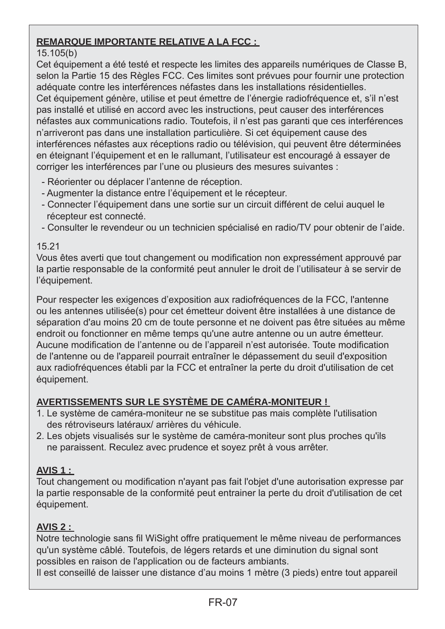# **REMARQUE IMPORTANTE RELATIVE A LA FCC :**

# 15.105(b)

Cet équipement a été testé et respecte les limites des appareils numériques de Classe B, selon la Partie 15 des Règles FCC. Ces limites sont prévues pour fournir une protection adéquate contre les interférences néfastes dans les installations résidentielles. Cet équipement génère, utilise et peut émettre de l'énergie radiofréquence et, s'il n'est pas installé et utilisé en accord avec les instructions, peut causer des interférences néfastes aux communications radio. Toutefois, il n'est pas garanti que ces interférences n'arriveront pas dans une installation particulière. Si cet équipement cause des interférences néfastes aux réceptions radio ou télévision, qui peuvent être déterminées en éteignant l'équipement et en le rallumant, l'utilisateur est encouragé à essayer de corriger les interférences par l'une ou plusieurs des mesures suivantes :

- Réorienter ou déplacer l'antenne de réception.
- Augmenter la distance entre l'équipement et le récepteur.
- Connecter l'équipement dans une sortie sur un circuit différent de celui auquel le récepteur est connecté.
- Consulter le revendeur ou un technicien spécialisé en radio/TV pour obtenir de l'aide.

# 15.21

Vous êtes averti que tout changement ou modification non expressément approuvé par la partie responsable de la conformité peut annuler le droit de l'utilisateur à se servir de l'équipement.

Pour respecter les exigences d'exposition aux radiofréquences de la FCC, l'antenne ou les antennes utilisée(s) pour cet émetteur doivent être installées à une distance de séparation d'au moins 20 cm de toute personne et ne doivent pas être situées au même endroit ou fonctionner en même temps qu'une autre antenne ou un autre émetteur. Aucune modification de l'antenne ou de l'appareil n'est autorisée. Toute modification de l'antenne ou de l'appareil pourrait entraîner le dépassement du seuil d'exposition aux radiofréquences établi par la FCC et entraîner la perte du droit d'utilisation de cet équipement.

# **AVERTISSEMENTS SUR LE SYSTÈME DE CAMÉRA-MONITEUR !**

- 1. Le système de caméra-moniteur ne se substitue pas mais complète l'utilisation des rétroviseurs latéraux/ arrières du véhicule.
- 2. Les objets visualisés sur le système de caméra-moniteur sont plus proches qu'ils ne paraissent. Reculez avec prudence et soyez prêt à vous arrêter.

# **AVIS 1 :**

Tout changement ou modification n'ayant pas fait l'objet d'une autorisation expresse par la partie responsable de la conformité peut entrainer la perte du droit d'utilisation de cet équipement.

# **AVIS 2 :**

Notre technologie sans fil WiSight offre pratiquement le même niveau de performances qu'un système câblé. Toutefois, de légers retards et une diminution du signal sont possibles en raison de l'application ou de facteurs ambiants.

Il est conseillé de laisser une distance d'au moins 1 mètre (3 pieds) entre tout appareil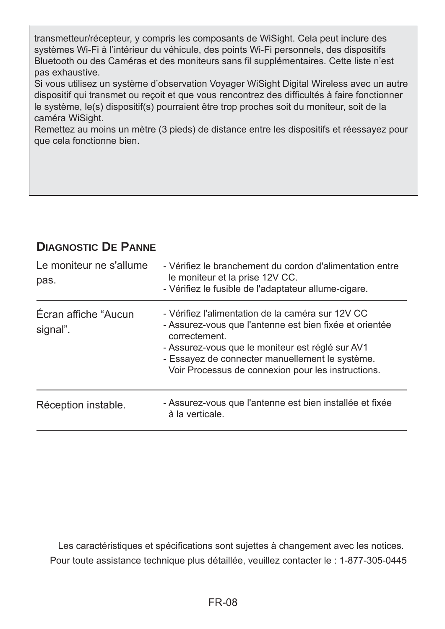transmetteur/récepteur, y compris les composants de WiSight. Cela peut inclure des systèmes Wi-Fi à l'intérieur du véhicule, des points Wi-Fi personnels, des dispositifs Bluetooth ou des Caméras et des moniteurs sans fil supplémentaires. Cette liste n'est pas exhaustive.

Si vous utilisez un système d'observation Voyager WiSight Digital Wireless avec un autre dispositif qui transmet ou reçoit et que vous rencontrez des difficultés à faire fonctionner le système, le(s) dispositif(s) pourraient être trop proches soit du moniteur, soit de la caméra WiSight.

Remettez au moins un mètre (3 pieds) de distance entre les dispositifs et réessayez pour que cela fonctionne bien.

# **DIAGNOSTIC DE PANNE**

| Le moniteur ne s'allume<br>pas.  | - Vérifiez le branchement du cordon d'alimentation entre<br>le moniteur et la prise 12V CC.<br>- Vérifiez le fusible de l'adaptateur allume-cigare.                                                                                                                                        |
|----------------------------------|--------------------------------------------------------------------------------------------------------------------------------------------------------------------------------------------------------------------------------------------------------------------------------------------|
| Écran affiche "Aucun<br>signal". | - Vérifiez l'alimentation de la caméra sur 12V CC<br>- Assurez-vous que l'antenne est bien fixée et orientée<br>correctement.<br>- Assurez-vous que le moniteur est réglé sur AV1<br>- Essayez de connecter manuellement le système.<br>Voir Processus de connexion pour les instructions. |
| Réception instable.              | - Assurez-vous que l'antenne est bien installée et fixée<br>à la verticale.                                                                                                                                                                                                                |

Pour toute assistance technique plus détaillée, veuillez contacter le : 1-877-305-0445 Les caractéristiques et spécifications sont sujettes à changement avec les notices.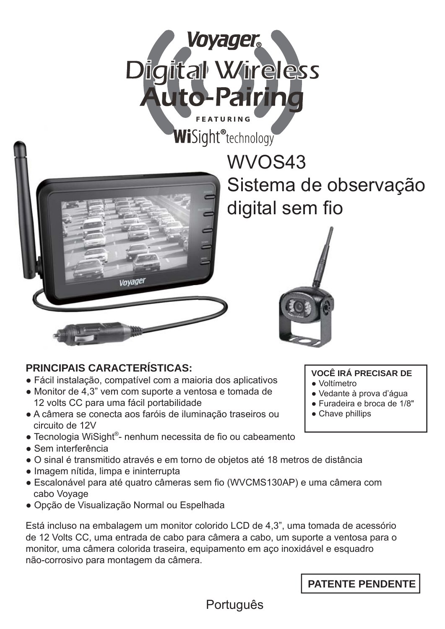



# **PRINCIPAIS CARACTERÍSTICAS:**

- Fácil instalação, compatível com a maioria dos aplicativos
- Monitor de 4,3" vem com suporte a ventosa e tomada de 12 volts CC para uma fácil portabilidade
- A câmera se conecta aos faróis de iluminação traseiros ou circuito de 12V
- Tecnologia WiSight®- nenhum necessita de fio ou cabeamento
- Sem interferência
- O sinal é transmitido através e em torno de objetos até 18 metros de distância
- Imagem nítida, limpa e ininterrupta
- Escalonável para até quatro câmeras sem fio (WVCMS130AP) e uma câmera com cabo Voyage
- Opção de Visualização Normal ou Espelhada

Está incluso na embalagem um monitor colorido LCD de 4,3", uma tomada de acessório de 12 Volts CC, uma entrada de cabo para câmera a cabo, um suporte a ventosa para o monitor, uma câmera colorida traseira, equipamento em aço inoxidável e esquadro não-corrosivo para montagem da câmera.

WVOS43 W Sistema de observação S digital sem fio



**VOCÊ IRÁ PRECISAR DE**

- Voltímetro
- Vedante à prova d'água
- Furadeira e broca de 1/8"
- Chave phillips

Português

**PATENTE PENDENTE**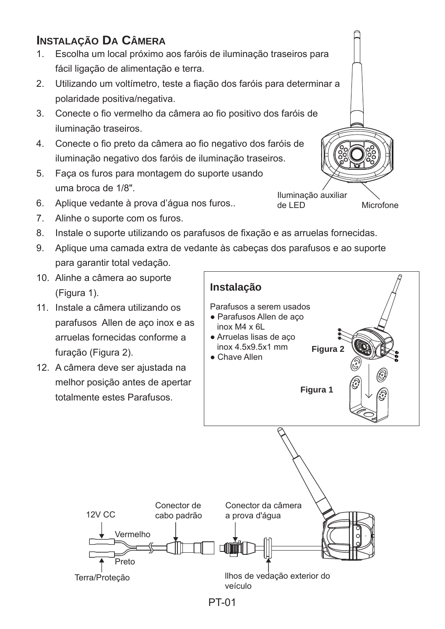# **INSTALAÇÃO DA CÂMERA**

- 1. Escolha um local próximo aos faróis de iluminação traseiros para fácil ligação de alimentação e terra.
- 2. Utilizando um voltímetro, teste a fiação dos faróis para determinar a polaridade positiva/negativa.
- 3. Conecte o fio vermelho da câmera ao fio positivo dos faróis de iluminação traseiros.
- 4. Conecte o fio preto da câmera ao fio negativo dos faróis de iluminação negativo dos faróis de iluminação traseiros.
- 5. Faça os furos para montagem do suporte usando uma broca de 1/8".
- 6. Aplique vedante à prova d'água nos furos..
- 7. Alinhe o suporte com os furos.
- 8. Instale o suporte utilizando os parafusos de fixação e as arruelas fornecidas.
- 9. Aplique uma camada extra de vedante às cabeças dos parafusos e ao suporte para garantir total vedação.
- 10. Alinhe a câmera ao suporte (Figura 1).
- 11. Instale a câmera utilizando os parafusos Allen de aço inox e as arruelas fornecidas conforme a furação (Figura 2).
- 12. A câmera deve ser ajustada na melhor posição antes de apertar totalmente estes Parafusos.

12V CC



Iluminação auxiliar Microfone

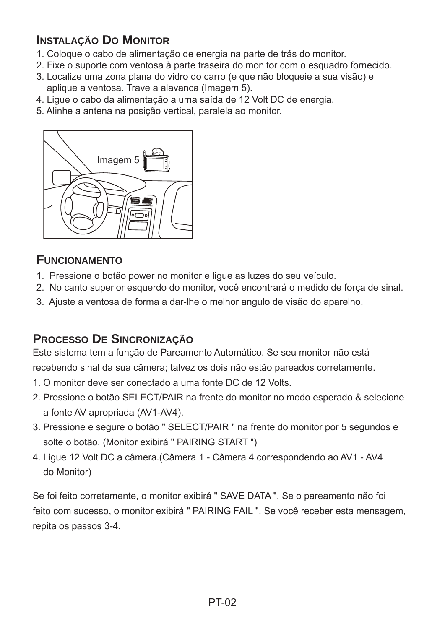# **INSTALAÇÃO DO MONITOR**

- 1. Coloque o cabo de alimentação de energia na parte de trás do monitor.
- 2. Fixe o suporte com ventosa à parte traseira do monitor com o esquadro fornecido.
- 3. Localize uma zona plana do vidro do carro (e que não bloqueie a sua visão) e aplique a ventosa. Trave a alavanca (Imagem 5).
- 4. Ligue o cabo da alimentação a uma saída de 12 Volt DC de energia.
- 5. Alinhe a antena na posição vertical, paralela ao monitor.



# **FUNCIONAMENTO**

- 1. Pressione o botão power no monitor e ligue as luzes do seu veículo.
- 2. No canto superior esquerdo do monitor, você encontrará o medido de força de sinal.
- 3. Ajuste a ventosa de forma a dar-lhe o melhor angulo de visão do aparelho.

# **PROCESSO DE SINCRONIZAÇÃO**

Este sistema tem a função de Pareamento Automático. Se seu monitor não está recebendo sinal da sua câmera; talvez os dois não estão pareados corretamente.

- 1. O monitor deve ser conectado a uma fonte DC de 12 Volts.
- 2. Pressione o botão SELECT/PAIR na frente do monitor no modo esperado & selecione a fonte AV apropriada (AV1-AV4).
- 3. Pressione e segure o botão " SELECT/PAIR " na frente do monitor por 5 segundos e solte o botão. (Monitor exibirá " PAIRING START ")
- 4. Ligue 12 Volt DC a câmera.(Câmera 1 Câmera 4 correspondendo ao AV1 AV4 do Monitor)

Se foi feito corretamente, o monitor exibirá " SAVE DATA ". Se o pareamento não foi feito com sucesso, o monitor exibirá " PAIRING FAIL ". Se você receber esta mensagem, repita os passos 3-4.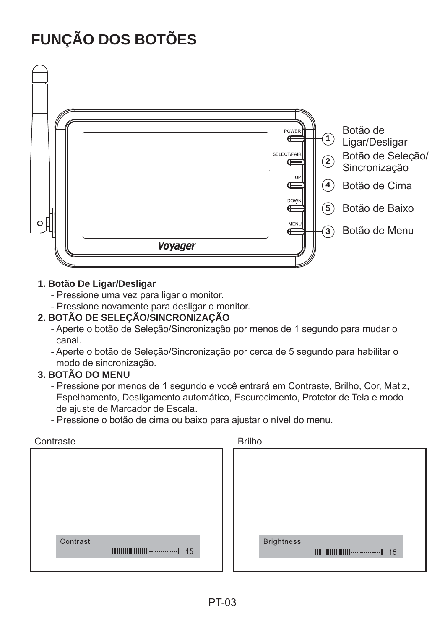# **FUNÇÃO DOS BOTÕES**



### **1. Botão De Ligar/Desligar**

- Pressione uma vez para ligar o monitor.
- Pressione novamente para desligar o monitor.

# **2. BOTÃO DE SELEÇÃO/SINCRONIZAÇÃO**

- Aperte o botão de Seleção/Sincronização por menos de 1 segundo para mudar o canal.
- Aperte o botão de Seleção/Sincronização por cerca de 5 segundo para habilitar o modo de sincronização.

# **3. BOTÃO DO MENU**

- Pressione por menos de 1 segundo e você entrará em Contraste, Brilho, Cor, Matiz, Espelhamento, Desligamento automático, Escurecimento, Protetor de Tela e modo de ajuste de Marcador de Escala.
- Pressione o botão de cima ou baixo para ajustar o nível do menu.

| Contraste | <b>Brilho</b>     |
|-----------|-------------------|
|           |                   |
|           |                   |
|           |                   |
|           |                   |
|           |                   |
|           |                   |
|           |                   |
| Contrast  | <b>Brightness</b> |
|           |                   |
|           |                   |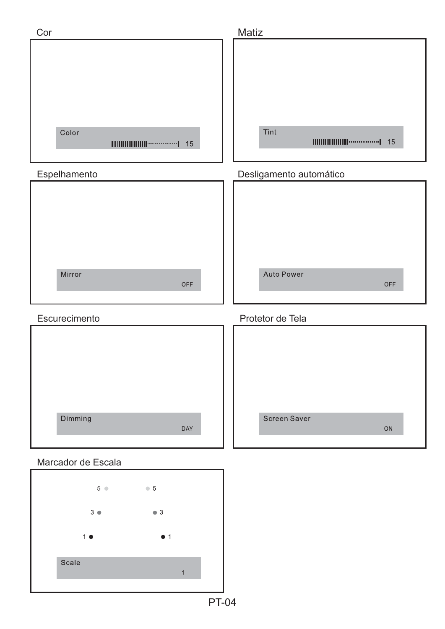| Cor                           | Matiz                                                                                          |
|-------------------------------|------------------------------------------------------------------------------------------------|
| Color                         | Tint<br>$\text{III}\text{III}\text{III}\text{III}\text{III}\text{III}\text{}\text{}\text{}$ 15 |
| Espelhamento                  | Desligamento automático                                                                        |
| Mirror<br>OFF                 | Auto Power<br>OFF                                                                              |
| Escurecimento                 | Protetor de Tela                                                                               |
| Dimming<br>DAY                | Screen Saver<br>ON                                                                             |
| Marcador de Escala            |                                                                                                |
| $5^{\circ}$<br>$\bullet$ 5    |                                                                                                |
| 3 <sub>o</sub><br>$\bullet$ 3 |                                                                                                |

PT-04

 $\bullet$  1

 $\overline{1}$ 

 $1<sub>o</sub>$ 

Scale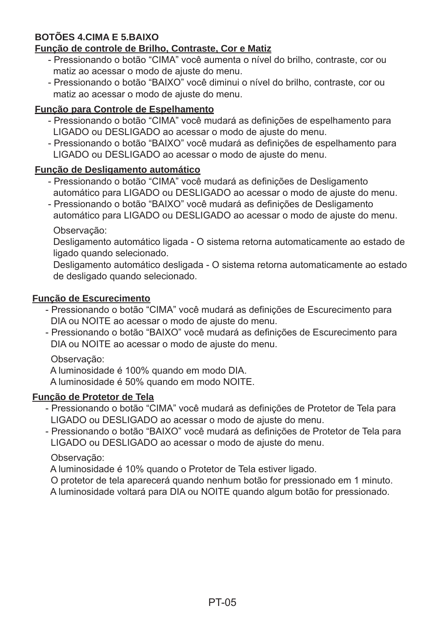# **BOTÕES 4.CIMA E 5.BAIXO**

# **Função de controle de Brilho, Contraste, Cor e Matiz**

- Pressionando o botão "CIMA" você aumenta o nível do brilho, contraste, cor ou matiz ao acessar o modo de ajuste do menu.
- Pressionando o botão "BAIXO" você diminui o nível do brilho, contraste, cor ou matiz ao acessar o modo de ajuste do menu.

# **Função para Controle de Espelhamento**

- Pressionando o botão "CIMA" você mudará as definições de espelhamento para LIGADO ou DESLIGADO ao acessar o modo de ajuste do menu.
- Pressionando o botão "BAIXO" você mudará as definições de espelhamento para LIGADO ou DESLIGADO ao acessar o modo de ajuste do menu.

### **Função de Desligamento automático**

- Pressionando o botão "CIMA" você mudará as definições de Desligamento automático para LIGADO ou DESLIGADO ao acessar o modo de ajuste do menu.
- Pressionando o botão "BAIXO" você mudará as definições de Desligamento automático para LIGADO ou DESLIGADO ao acessar o modo de ajuste do menu.

Observação:

 Desligamento automático ligada - O sistema retorna automaticamente ao estado de ligado quando selecionado.

 Desligamento automático desligada - O sistema retorna automaticamente ao estado de desligado quando selecionado.

### **Função de Escurecimento**

- Pressionando o botão "CIMA" você mudará as definições de Escurecimento para DIA ou NOITE ao acessar o modo de ajuste do menu.
- Pressionando o botão "BAIXO" você mudará as definições de Escurecimento para DIA ou NOITE ao acessar o modo de ajuste do menu.

### Observação:

A luminosidade é 100% quando em modo DIA.

A luminosidade é 50% quando em modo NOITE.

# **Função de Protetor de Tela**

- Pressionando o botão "CIMA" você mudará as definições de Protetor de Tela para LIGADO ou DESLIGADO ao acessar o modo de ajuste do menu.
- Pressionando o botão "BAIXO" você mudará as definições de Protetor de Tela para LIGADO ou DESLIGADO ao acessar o modo de ajuste do menu.

# Observação:

A luminosidade é 10% quando o Protetor de Tela estiver ligado.

O protetor de tela aparecerá quando nenhum botão for pressionado em 1 minuto.

A luminosidade voltará para DIA ou NOITE quando algum botão for pressionado.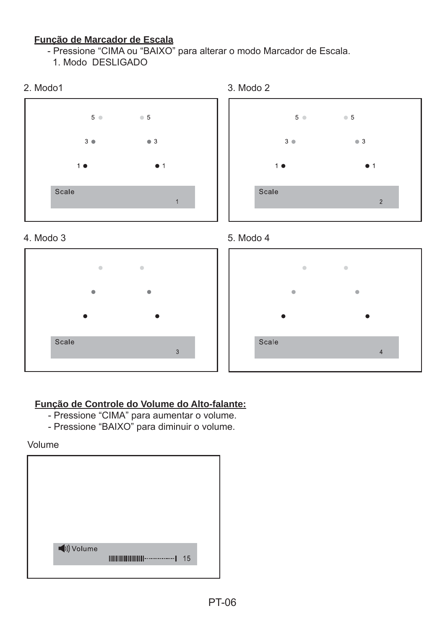### **Função de Marcador de Escala**

- Pressione "CIMA ou "BAIXO" para alterar o modo Marcador de Escala.

1. Modo DESLIGADO





# **Função de Controle do Volume do Alto-falante:**

- Pressione "CIMA" para aumentar o volume.
- Pressione "BAIXO" para diminuir o volume.

Volume







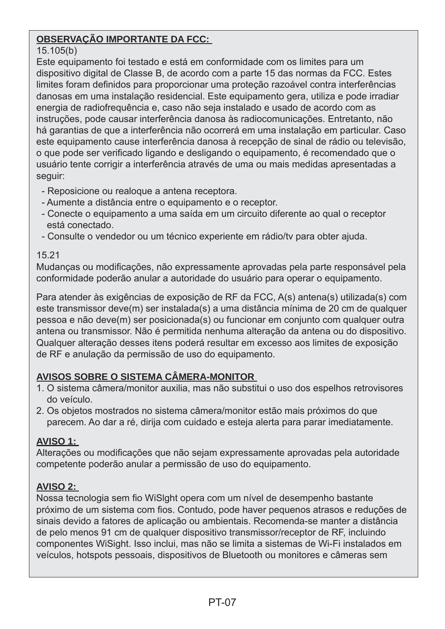# **OBSERVAÇÃO IMPORTANTE DA FCC:**

### 15.105(b)

Este equipamento foi testado e está em conformidade com os limites para um dispositivo digital de Classe B, de acordo com a parte 15 das normas da FCC. Estes limites foram definidos para proporcionar uma proteção razoável contra interferências danosas em uma instalação residencial. Este equipamento gera, utiliza e pode irradiar energia de radiofrequência e, caso não seja instalado e usado de acordo com as instruções, pode causar interferência danosa às radiocomunicações. Entretanto, não há garantias de que a interferência não ocorrerá em uma instalação em particular. Caso este equipamento cause interferência danosa à recepção de sinal de rádio ou televisão, o que pode ser verifi cado ligando e desligando o equipamento, é recomendado que o usuário tente corrigir a interferência através de uma ou mais medidas apresentadas a seguir:

- Reposicione ou realoque a antena receptora.
- Aumente a distância entre o equipamento e o receptor.
- Conecte o equipamento a uma saída em um circuito diferente ao qual o receptor está conectado.
- Consulte o vendedor ou um técnico experiente em rádio/tv para obter ajuda.

### 15.21

Mudanças ou modificações, não expressamente aprovadas pela parte responsável pela conformidade poderão anular a autoridade do usuário para operar o equipamento.

Para atender às exigências de exposição de RF da FCC, A(s) antena(s) utilizada(s) com este transmissor deve(m) ser instalada(s) a uma distância mínima de 20 cm de qualquer pessoa e não deve(m) ser posicionada(s) ou funcionar em conjunto com qualquer outra antena ou transmissor. Não é permitida nenhuma alteração da antena ou do dispositivo. Qualquer alteração desses itens poderá resultar em excesso aos limites de exposição de RF e anulação da permissão de uso do equipamento.

# **AVISOS SOBRE O SISTEMA CÂMERA-MONITOR**

- 1. O sistema câmera/monitor auxilia, mas não substitui o uso dos espelhos retrovisores do veículo.
- 2. Os objetos mostrados no sistema câmera/monitor estão mais próximos do que parecem. Ao dar a ré, dirija com cuidado e esteja alerta para parar imediatamente.

# **AVISO 1:**

Alterações ou modificações que não sejam expressamente aprovadas pela autoridade competente poderão anular a permissão de uso do equipamento.

# **AVISO 2:**

Nossa tecnologia sem fio WiSlght opera com um nível de desempenho bastante próximo de um sistema com fios. Contudo, pode haver pequenos atrasos e reduções de sinais devido a fatores de aplicação ou ambientais. Recomenda-se manter a distância de pelo menos 91 cm de qualquer dispositivo transmissor/receptor de RF, incluindo componentes WiSight. Isso inclui, mas não se limita a sistemas de Wi-Fi instalados em veículos, hotspots pessoais, dispositivos de Bluetooth ou monitores e câmeras sem